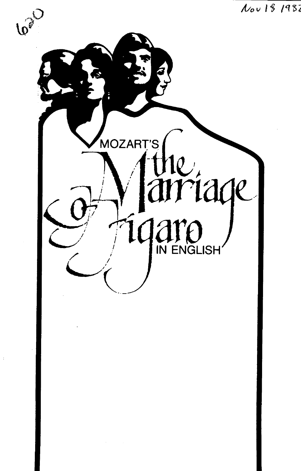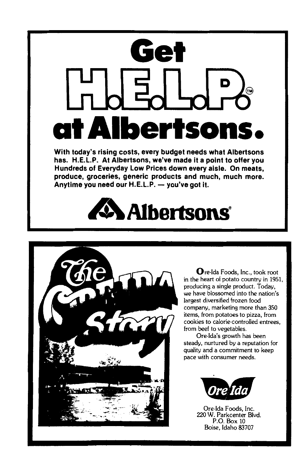

**With today's rising costs, every budget needs what Albertsons has. H.E.L.P. At Albertsons, we've made it a point to offer you Hundreds of Everyday Low Prices down every aisle. On meats, produce, groceries, generic products and much, much more.**  Anytime you need our H.E.L.P. - you've got it.

# **Albertsons**



Ore-Ida Foods, Inc., took root in the heart of potato country in 1951, producing a single product. Today, we have blossomed into the nation's largest diversified frozen food company, marketing more than 350 items, from potatoes to pizza, from cookies to calorie-controlled entrees, from beef to vegetables.

Ore-Ida's growth has been steady, nurtured by a reputation for quality and a commitment to keep pace with consumer needs.



Ore-Ida Foods, Inc. 220 W. Parkcenter Blvd. P.O. Box 10 Boise, Idaho 83707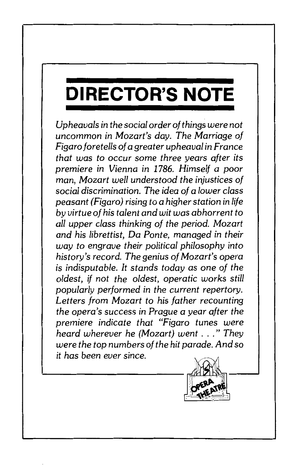## **DIRECTOR'S NOTE**

*Upheavals in the social order of things were not*  uncommon *in Mozart's day. The Marriage of Figaro foretells of a greater upheaval in F ranee that was to* occur some *three years after its premiere in Vienna in 1786. Himself a poor man, Mozart well understood the injustices of social discrimination. The idea of a lower class peasant (Figaro) rising to a higher station in life by virtue of his talent and wit was abhorrent to all upper class thinking of the period. Mozart and his librettist, Da Ponte, managed in their way to engrave their political philosophy into history's record. The genius of Mozart's opera is indisputable. It stands today as one of the oldest, if not the oldest, operatic works still popularly performed* in *the current repertory. Letters from Mozart to his father recounting the opera's* success *in Prague a year after the premiere indicate that "Figaro tunes were heard wherever he (Mozart) went* ... " *They were the top numbers of the hit parade. And* so *it has been ever since.* 

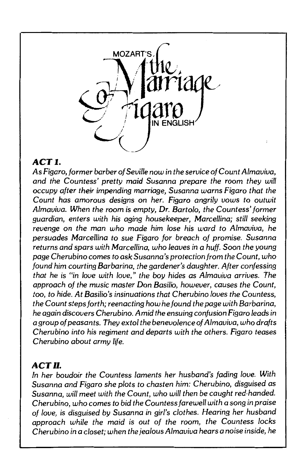

### *ACTJ.*

As Figaro, *former barber of Seuille* now in *the* seruice *of* Count *Almauiua, and the* Countess' *pretty maid* Susanna *prepare the* room *they will occupy after their* impending marriage, Susanna warns Figaro *that the*  Count has amorous designs on *her.* Figaro *angrily* uows *to outwit Almauiua. When the* room is *empty, Dr. Bartolo, the* Countess' *former guardian,* enters *with his* aging *housekeeper, Marcellina;* still seeking *reuenge* on *the* man *who made him* lose *his ward to Almauiua, he*  persuades *Marcellina to* sue *Figaro for breach of* promise. Susanna returns *and* spars *with Marcellina, who leaues* in *a huff.* Soon *the* young *page Cherubino* comes *to* ask Susanna's protection/rom *the* Count, *who found him* courting Barbarino, *the* gardener's *daughter. After* confessing *that he* is "in *laue with loue," the* boy *hides* as *Almauiua* arriues. *The approach of the* music master Don Basilio, *howeuer,* causes *the* Count, too, *to hide. At* Basilio's insinuations *that Cherubino loues the* Countess, *the* Count steps *forth; reenacting how he found the page with Barbarina, he again* discovers *Cherubino. Amid the* ensuing confusion *Figaro leads* in *a* group *of* peasants. *They extol the benevolence of Almauiua, who drafts Cherubino* into his *regiment and departs with the others. Figaro* teases *Cherubino about army life.* 

### *ACT* II.

*In her* boudoir *the* Countess *laments her* husband's *fading loue. With*  Susanna *and Figaro* she *plots to* chasten *him: Cherubino,* disguised as Susanna, *will meet with the* Count, *who will then* be *caught red-handed. Cherubino, who* comes *to bid the* Countess *farewell with a* song in *praise of loue,* is disguised *by* Susanna *in* girl's *clothes. Hearing her husband approach while the maid* is *out of the* room, *the* Countess *locks Cherubino* in *a* closet; *when the* jealous *Almauiua* hears *a* noise inside, *he*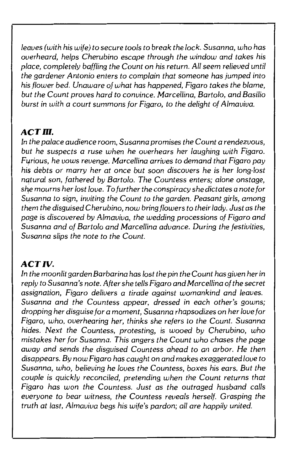*leaves (with his wife) to* secure *tools to break the lock.* Susanna, *who has overheard, helps Cherubino escape through the window and takes his place, completely baffling the Count* on *his return. All* seem *relieved until the gardener Antonio enters to complain that* someone *has jumped into his flower bed. Unaware of what has happened, Figaro takes the blame, but the Count proves hard to convince. Marcellina, Bartolo, and Basilio burst in with a court* summons *for Figaro, to the delight of Almaviva.* 

### *ACT* III.

*In the palace audience* room, Susanna *promises the Count a rendezvous, but he suspects a* ruse *when he overhears her laughing with Figaro. F!.frious, he vows revenge. Marcellina arrives to demand that Figaro pay his debts* or *marry her at* once *but* soon *discovers he is her long-lost natural* son, *fathered by Bartolo. The Countess enters; alone onstage, she* mourns *her lost love. To further the conspiracy she dictates a note for*  Susanna *to sign, inviting the Count to the garden. Peasant girls,* among *them the disguised Cherubino, now bring flowers to their lady. Just* as *the page is discovered by Almaviva, the wedding processions of Figaro and*  Susanna *and of Bartolo and Marcellina advance. During the festivities,*  Susanna *slips the note to the Count.* 

#### *ACT IV.*

*In the moonlit garden Barbarino has lost the pin the Count has given her in reply to* Susanna's *note. After she tells Figaro and Marcellina of the secret assignation, Figaro delivers a tirade against womankind and leaves.*  Susanna *and the Countess appear, dressed in each other's gowns; dropping her disguise for a moment,* Susanna *rhapsodizes* on *her love for Figaro, who, overhearing her, thinks she refers to the Count.* Susanna *hides. Next the Countess, protesting, is wooed by Cherubino, who mistakes her for* Susanna. *This* angers *the Count who chases the page away and sends the disguised Countess ahead to* an *arbor.* He *then disappears. By now Figaro has caught* on *and makes exaggerated love to*  Susanna, *who, believing he loves the Countess, boxes his* ears. *But the couple is quickly reconciled, pretending when the Count returns that Figaro has won the Countess. Just* as *the outraged husband calls everyone to bear witness, the Countess reveals herself. Grasping the truth at last, Almaviva begs his wife's pardon; all* are *happily united.*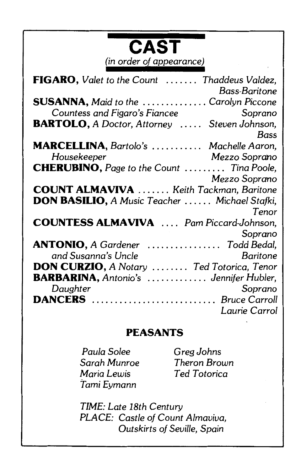| <b>CAST</b><br>(in order of appearance)                                     |
|-----------------------------------------------------------------------------|
| <b>FIGARO,</b> Valet to the Count  Thaddeus Valdez,<br><b>Bass-Baritone</b> |
| <b>SUSANNA</b> , Maid to the Carolyn Piccone                                |
| Countess and Figaro's Fiancee<br>Soprano                                    |
| <b>BARTOLO, A Doctor, Attorney  Steven Johnson,</b><br>Bass                 |
| MARCELLINA, Bartolo's  Machelle Aaron,                                      |
| Housekeeper<br>Mezzo Soprano                                                |
| <b>CHERUBINO</b> , Page to the Count  Tina Poole,                           |
| Mezzo Soprano                                                               |
| <b>COUNT ALMAVIVA</b> Keith Tackman, Baritone                               |
| <b>DON BASILIO, A Music Teacher  Michael Stafki,</b>                        |
| Tenor                                                                       |
| <b>COUNTESS ALMAVIVA</b> Pam Piccard-Johnson,                               |
|                                                                             |
| Soprano                                                                     |
| $\ldots \ldots \ldots \ldots$ Todd Bedal,<br><b>ANTONIO, A Gardener</b>     |
| and Susanna's Uncle<br><b>Baritone</b>                                      |
| <b>DON CURZIO, A Notary  Ted Totorica, Tenor</b>                            |
| <b>BARBARINA</b> , Antonio's  Jennifer Hubler,                              |
| Daughter<br>Soprano                                                         |
| <b>DANCERS</b> Bruce Carroll                                                |
| Laurie Carrol                                                               |

### **PEASANTS**

*Paula Solee Sarah* Munroe *Maria Lewis Tami Eymann* 

*Greg Johns Theron Brown Ted T otorica* 

*TIME: Late 18th Century PLACE: Castle of Count Almaviva, Outskirts of Seville, Spain*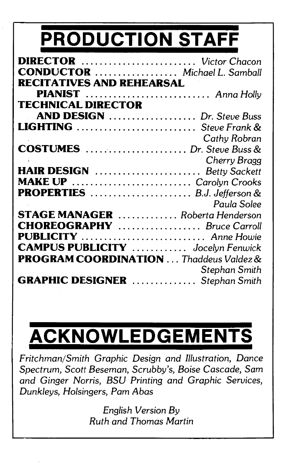# **PRODUCTION STAFF**

| DIRECTOR  Victor Chacon                       |               |
|-----------------------------------------------|---------------|
| <b>CONDUCTOR</b> Michael L. Samball           |               |
| RECITATIVES AND REHEARSAL                     |               |
| PIANIST  Anna Holly                           |               |
| <b>TECHNICAL DIRECTOR</b>                     |               |
| AND DESIGN  Dr. Steve Buss                    |               |
| LIGHTING  Steve Frank &                       |               |
|                                               | Cathy Robran  |
| <b>COSTUMES</b> Dr. Steve Buss &              |               |
|                                               | Cherry Bragg  |
| HAIR DESIGN  Betty Sackett                    |               |
| MAKE UP  Carolyn Crooks                       |               |
| PROPERTIES  B.J. Jefferson &                  |               |
|                                               | Paula Solee   |
| <b>STAGE MANAGER</b> Roberta Henderson        |               |
| <b>CHOREOGRAPHY</b> Bruce Carroll             |               |
| PUBLICITY  Anne Howie                         |               |
| <b>CAMPUS PUBLICITY</b> Jocelyn Fenwick       |               |
| <b>PROGRAM COORDINATION</b> Thaddeus Valdez & |               |
|                                               | Stephan Smith |
| <b>GRAPHIC DESIGNER</b> Stephan Smith         |               |

# **ACKNOWLEDGEMENTS**

*Fritchman/Smith Graphic Design and Illustration, Dance Spectrum, Scott Beseman, Scrubby's, Boise Cascade, Sam and Ginger Norris, BSU Printing and Graphic Services, Dunkleys, Holsingers, Pam Abas* 

> *English Version By Ruth and Thomas Martin*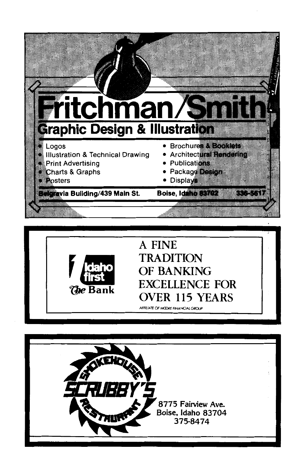



### A FINE **TRADITION** OF BANKING EXCELLENCE FOR OVER 115 YEARS

AFFILIATE OF MCDRE FINANCIAL GROUP

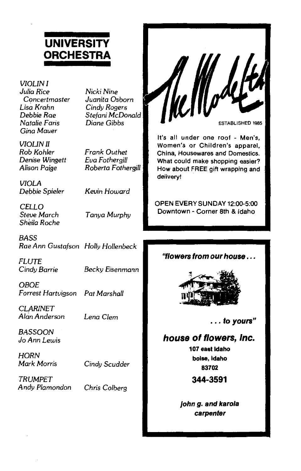### **UNIVERSITY ORCHESTRA**

*VIOLIN I*  Julia *Rice Cc;mcertmaster*  Lisa *Krahn Debbie Rae Natalie* Faris *Gina* Mauer

*VIOUNll Rob Kohler*  Denise *Wingett*  Alison *Paige* 

*Nicki Nine Juanita* Osborn *Cindy* Rogers *Stefani McDonald Diane* Gibbs

*Frank Outhet Eua Fothergill Roberta Fothergill* 

*VIOLA Debbie Spieler* 

*Kevin Howard* 

*CELLO Steue March Sheila Roche* 

*Tanya Murphy* 

*BASS Rae* Ann Gustafson *Holly Hollenbeck* 

*FLUTE Cindy Barrie Becky* Eisenmann

*OBOE*  Forrest *Hartuigson Pat Marshall* 

*CLARINET Alcin* Anderson

*Lena Clem* 

*BASSOON*  JoAnn *Lewis* 

*HORN Mark* Morris

*Cindy Scudder* 

*TRUMPET Andy Plamondon* 

*Chris Colberg* 



It's all under one roof - Men's, Women's or Children's apparel, China, Housewares and Domestics. What could make shopping easier? How about FREE gift wrapping and delivery!

OPEN EVERY SUNDAY 12:0Q-5:00 Downtown - Corner 8th & Idaho

**''flowers from our house .**..



... **to yours"** 

#### **house of flowers, Inc.**

**107 east Idaho boise, Idaho 83702** 

**344-3591** 

**john g. and karola carpenter**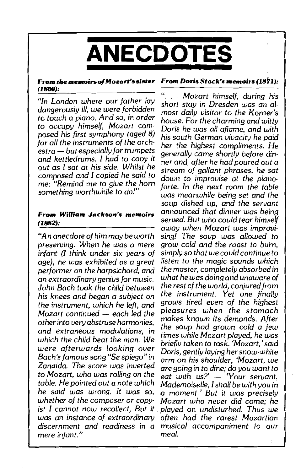

### **(1800):**

*"In London where our father lay dangerously* ill, we were *forbidden to touch a piano. And* so, in *order to occupy himself, Mozart* com*posed his first symphony (aged B) for all the instruments of the orchestra* - *but especially for trumpets and kettledrums. I had to copy it out as I sat at his side. Whilst he composed and I copied he said to*  me: *"Remind* me *to give the horn something worthwhile to do!"* 

*Mozart continued- each led the pleasures when the stomach*  mere *infant*."

#### **From** *the* **memoirs o/ Mozart's sister From Doris Stock's memoirs** *(18h):*

". . . *Mozart himself, during his short stay* in *Dresden was an almost daily visitor to the Korner's house. For the charming and witty*  Doris *he was all aflame, and with his south* German *vivacity he paid her the highest compliments. He generally* came *shortly before dinner and, after he had poured out a stream of gallant phrases, he sat down to improvise at the pianoforte. In the next* room *the table was meanwhile being set and the soup dished up, and the servant*  **From William Jackson's memoirs** *announced that dinner was being (1882): served. But who could tear himself away when Mozart was improvi-* "An *anecdote of him may be worth sing! The soup was allowed to preserving. When he was a* mere grow *cold and the roast to burn, infant (I think under six years of simply so that we could continue to*  $a\omega$ ), he was exhibited as a great listen to the magic sounds which *age), he was exhibited as a great listen to the magic sounds which performer* on *the harpsichord, and the master, completely absorbed in an extraordinary genius for* music. *what he was doing and unaware of John Bach took the child between the rest of the world, conjured/rom his knees and began a subject* on *the instrument. Yet* one *finally the instrument, which he left, and* grows *tired even of the highest*  other into very abstruse harmonies, makes known its demands. After and extraneous modulations, in the soup had grown cold a few unich the child beat the man. We times while Mozart played, he was *which the child beat the* man. *We briefly taken to task. 'Mozart,' said*  were *afterwards looking over Doris, gently laying her snow-white Bach's famous* song "Se *spiego" in arm* on *his shoulder, 'Mozart,* we *Zanaida. The* score *was inverted are going in to dine; do you want to to Mozart, who was rolling* on *the eat with us?'* - *'Your servant, table. He pointed out a note which Mademoiselle, I shall be with you in he said was* wrong. *It was* so, *a moment.' But it was precisely whether of the* composer or *copy- Mozart who never did* come; *he ist I cannot* now *recollect, But it* . *played* on *undisturbed. Thus* we *was an instance of extraordinary often had the rarest Mozartian discernment and readiness in a musical accompaniment to our*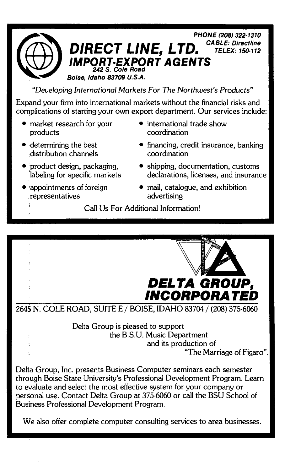

*"Developing International Markets For The Northwest's Products"* 

Expand your firm into international markets without the financial risks and complications of starting your own export department. Our services include:

- market research for your 'products
- determining the best ,distribution channels
- $\bullet$  product design, packaging, .'labeling for specific markets
- •appointments of foreign representatives
- international trade show coordination
- financing, credit insurance, banking coordination
- shipping, documentation, customs declarations, licenses, and insurance
- mail, catalogue, and exhibition advertising

Call Us For Additional Information!



2645 N. COLE ROAD, SUITE E / BOISE, IDAHO 83704 / (208) 375-6060

Delta Group is pleased to support the B.S.U. Music Department and its production of "The Marriage of Figaro".

Delta Group, Inc. presents Business Computer seminars each semester through Boise State University's Professional Development Program. Learn to evaluate and select the most effective system for your company or personal use. Contact Delta Group at 375-6060 or call the BSU School of Business Professional Development Program.

We also offer complete computer consulting services to area businesses.